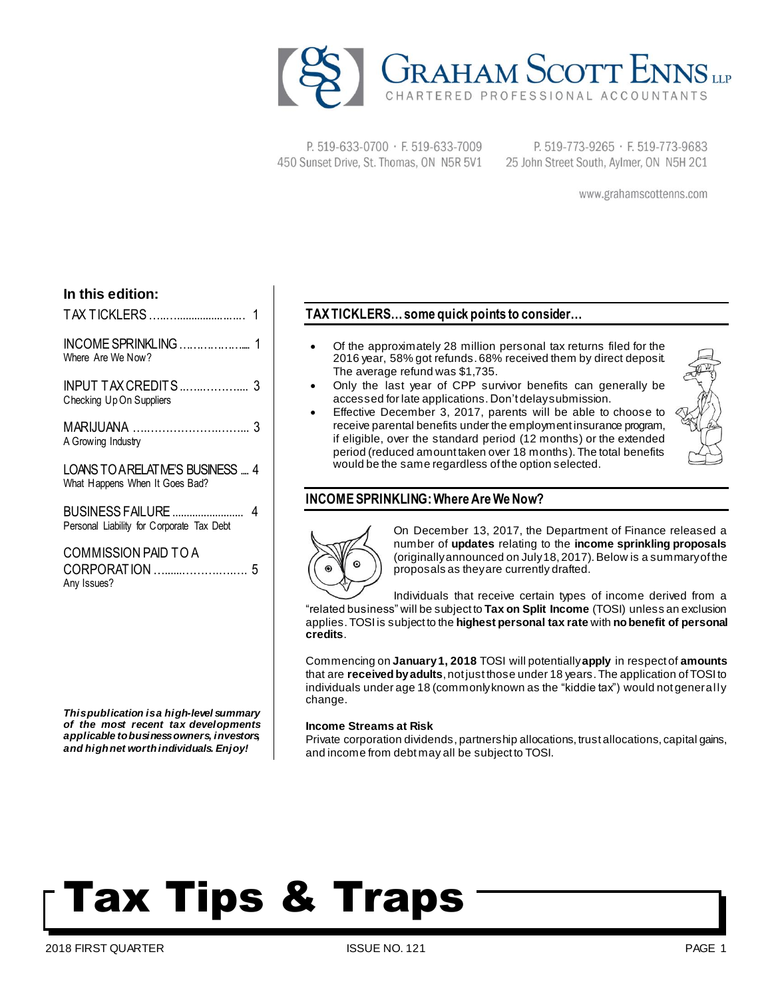

P. 519-633-0700 · F. 519-633-7009 450 Sunset Drive, St. Thomas, ON N5R 5V1

P. 519-773-9265 · F. 519-773-9683 25 John Street South, Aylmer, ON N5H 2C1

www.grahamscottenns.com

## **In this edition:**

| Where Are We Now?                                                   |  |
|---------------------------------------------------------------------|--|
| INPUT TAX CREDITS  3<br>Checking Up On Suppliers                    |  |
| A Growing Industry                                                  |  |
| LOANS TO A RELATIVE'S BUSINESS  4<br>What Happens When It Goes Bad? |  |
| Personal Liability for Corporate Tax Debt                           |  |
| COMMISSION PAID TO A<br>Any Issues?                                 |  |

*Thispublication isa high-level summary of the most recent tax developments applicable tobusinessowners, investors, and highnet worthindividuals. Enjoy!*

## **TAXTICKLERS…some quick points to consider…**

- Of the approximately 28 million personal tax returns filed for the 2016 year, 58% got refunds. 68% received them by direct deposit. The average refund was \$1,735.
- Only the last year of CPP survivor benefits can generally be accessed for late applications. Don't delaysubmission.
- Effective December 3, 2017, parents will be able to choose to receive parental benefits under the employment insurance program, if eligible, over the standard period (12 months) or the extended period (reduced amount taken over 18 months). The total benefits would be the same regardless ofthe option selected.



## **INCOMESPRINKLING:Where AreWeNow?**



On December 13, 2017, the Department of Finance released a number of **updates** relating to the **income sprinkling proposals** (originallyannounced on July18, 2017).Below is a summaryof the proposals as theyare currently drafted.

Individuals that receive certain types of income derived from a "related business" will be subject to **Tax on Split Income** (TOSI) unless an exclusion applies.TOSI is subject to the **highest personal tax rate** with **nobenefit of personal credits**.

Commencing on **January1, 2018** TOSI will potentially**apply** in respect of **amounts** that are **receivedbyadults**, not just those under 18 years.The application ofTOSI to individuals under age 18 (commonlyknown as the "kiddie tax") would not generally change.

### **Income Streams at Risk**

Private corporation dividends, partnership allocations, trust allocations, capital gains, and income from debt may all be subject to TOSI.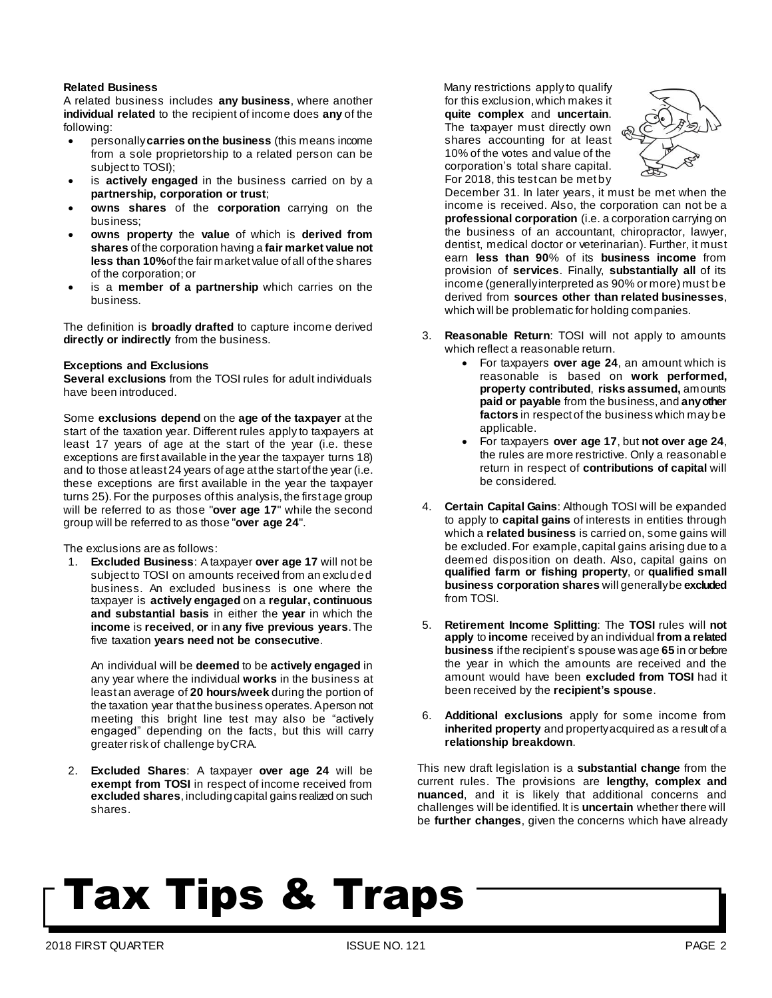### **Related Business**

A related business includes **any business**, where another **individual related** to the recipient of income does **any** of the following:

- personally**carries onthe business** (this means income from a sole proprietorship to a related person can be subject to TOSI);
- is **actively engaged** in the business carried on by a **partnership, corporation or trust**;
- **owns shares** of the **corporation** carrying on the business;
- **owns property** the **value** of which is **derived from shares** ofthe corporation having a **fair market value not less than 10%**of the fair market value ofall ofthe shares of the corporation; or
- is a **member of a partnership** which carries on the business.

The definition is **broadly drafted** to capture income derived **directly or indirectly** from the business.

### **Exceptions and Exclusions**

**Several exclusions** from the TOSI rules for adult individuals have been introduced.

Some **exclusions depend** on the **age of the taxpayer** at the start of the taxation year. Different rules apply to taxpayers at least 17 years of age at the start of the year (i.e. these exceptions are first available in the year the taxpayer turns 18) and to those at least 24 years of age at the start of the year (i.e. these exceptions are first available in the year the taxpayer turns 25).For the purposes ofthis analysis, the first age group will be referred to as those "**over age 17**" while the second group will be referred to as those "**over age 24**".

The exclusions are as follows:

1. **Excluded Business**: Ataxpayer **over age 17** will not be subject to TOSI on amounts received from an excluded business. An excluded business is one where the taxpayer is **actively engaged** on a **regular, continuous and substantial basis** in either the **year** in which the **income** is **received**, **or** in **any five previous years**.The five taxation **years need not be consecutive**.

An individual will be **deemed** to be **actively engaged** in any year where the individual **works** in the business at least an average of **20 hours/week** during the portion of the taxation year that the business operates. Aperson not meeting this bright line test may also be "actively engaged" depending on the facts, but this will carry greater risk of challenge byCRA.

2. **Excluded Shares**: A taxpayer **over age 24** will be **exempt from TOSI** in respect of income received from **excluded shares**,includingcapital gains realized on such shares.

Many restrictions apply to qualify for this exclusion,which makes it **quite complex** and **uncertain**. The taxpayer must directly own shares accounting for at least 10% of the votes and value of the corporation's total share capital. For 2018, this test can be met by



December 31. In later years, it must be met when the income is received. Also, the corporation can not be a **professional corporation** (i.e. a corporation carrying on the business of an accountant, chiropractor, lawyer, dentist, medical doctor or veterinarian). Further, it must earn **less than 90**% of its **business income** from provision of **services**. Finally, **substantially all** of its income (generallyinterpreted as 90% or more) must be derived from **sources other than related businesses**, which will be problematic for holding companies.

- 3. **Reasonable Return**: TOSI will not apply to amounts which reflect a reasonable return.
	- For taxpayers **over age 24**, an amount which is reasonable is based on **work performed, property contributed**, **risks assumed,** amounts **paid or payable** from the business, and **anyother factors** in respect of the business which may be applicable.
	- For taxpayers **over age 17**, but **not over age 24**, the rules are more restrictive. Only a reasonable return in respect of **contributions of capital** will be considered.
- 4. **Certain Capital Gains**: Although TOSI will be expanded to apply to **capital gains** of interests in entities through which a **related business** is carried on, some gains will be excluded. For example, capital gains arising due to a deemed disposition on death. Also, capital gains on **qualified farm or fishing property**, or **qualified small business corporation shares** will generallybe **excluded** from TOSI.
- 5. **Retirement Income Splitting**: The **TOSI** rules will **not apply** to **income** received by an individual **from a related business** if the recipient's spouse was age **65** in or before the year in which the amounts are received and the amount would have been **excluded from TOSI** had it been received by the **recipient's spouse**.
- 6. **Additional exclusions** apply for some income from **inherited property** and propertyacquired as a result of a **relationship breakdown**.

This new draft legislation is a **substantial change** from the current rules. The provisions are **lengthy, complex and nuanced**, and it is likely that additional concerns and challenges will be identified. It is **uncertain** whether there will be **further changes**, given the concerns which have already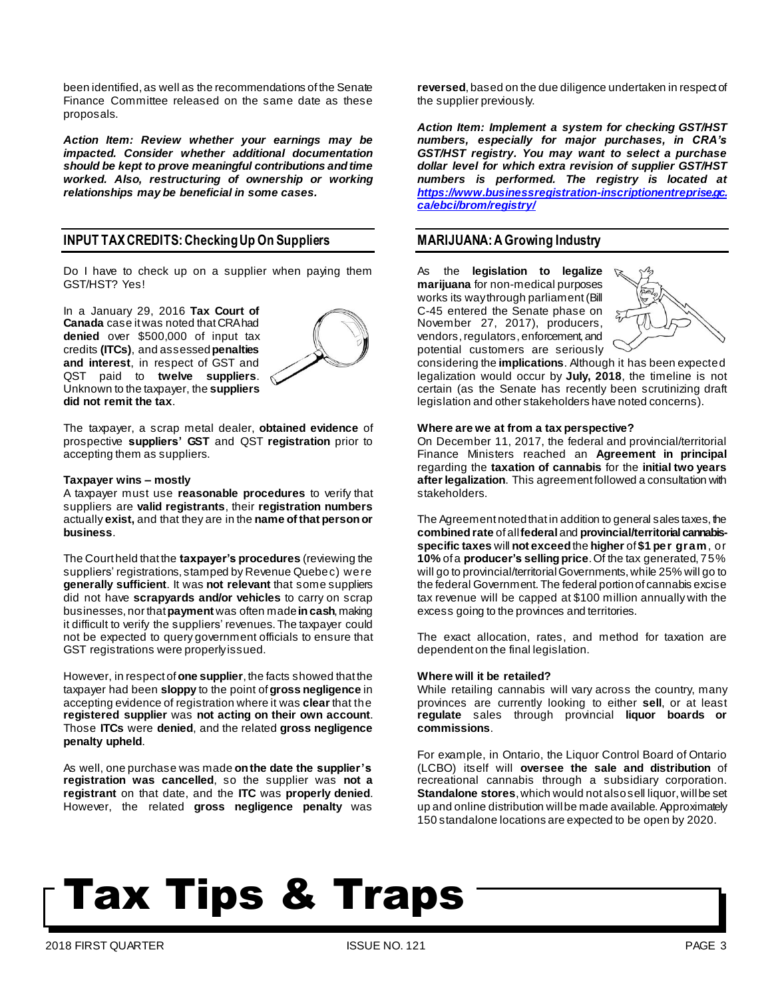been identified, as well as the recommendations of the Senate Finance Committee released on the same date as these proposals.

*Action Item: Review whether your earnings may be impacted. Consider whether additional documentation should be kept to prove meaningful contributions andtime worked. Also, restructuring of ownership or working relationships may be beneficial in some cases.*

## **INPUT TAXCREDITS:CheckingUp On Suppliers**

Do I have to check up on a supplier when paying them GST/HST? Yes!

In a January 29, 2016 **Tax Court of Canada** case itwas noted thatCRAhad **denied** over \$500,000 of input tax credits **(ITCs)**, and assessed**penalties and interest**, in respect of GST and QST paid to **twelve suppliers**. Unknown to the taxpayer, the **suppliers did not remit the tax**.



The taxpayer, a scrap metal dealer, **obtained evidence** of prospective **suppliers' GST** and QST **registration** prior to accepting them as suppliers.

#### **Taxpayer wins – mostly**

A taxpayer must use **reasonable procedures** to verify that suppliers are **valid registrants**, their **registration numbers** actually **exist,** and that they are in the **name of that personor business**.

The Court held that the **taxpayer's procedures** (reviewing the suppliers' registrations, stamped by Revenue Quebec) were **generally sufficient**. It was **not relevant** that some suppliers did not have **scrapyards and/or vehicles** to carry on scrap businesses, nor that**payment** was often made**incash**,making it difficult to verify the suppliers' revenues.The taxpayer could not be expected to query government officials to ensure that GST registrations were properlyissued.

However, in respect of**one supplier**, the facts showed that the taxpayer had been **sloppy** to the point of**gross negligence** in accepting evidence of registration where it was **clear** that the **registered supplier** was **not acting on their own account**. Those **ITCs** were **denied**, and the related **gross negligence penalty upheld**.

As well, one purchase was made **onthe date the supplier's registration was cancelled**, so the supplier was **not a registrant** on that date, and the **ITC** was **properly denied**. However, the related **gross negligence penalty** was **reversed**,based on the due diligence undertaken in respect of the supplier previously.

*Action Item: Implement a system for checking GST/HST numbers, especially for major purchases, in CRA's GST/HST registry. You may want to select a purchase dollar level for which extra revision of supplier GST/HST numbers is performed. The registry is located at [https://www.businessregistration-inscriptionentreprise.gc.](https://www.businessregistration-inscriptionentreprise.gc.ca/ebci/brom/registry/) [ca/ebci/brom/registry/](https://www.businessregistration-inscriptionentreprise.gc.ca/ebci/brom/registry/)*

### **MARIJUANA:AGrowing Industry**

As the **legislation to legalize marijuana** for non-medical purposes works its waythrough parliament(Bill C-45 entered the Senate phase on November 27, 2017), producers, vendors, regulators, enforcement, and potential customers are seriously



considering the **implications**. Although it has been expected legalization would occur by **July, 2018**, the timeline is not certain (as the Senate has recently been scrutinizing draft legislation and other stakeholders have noted concerns).

#### **Where are we at from a tax perspective?**

On December 11, 2017, the federal and provincial/territorial Finance Ministers reached an **Agreement in principal** regarding the **taxation of cannabis** for the **initial two years after legalization**. This agreement followed a consultation with stakeholders.

The Agreement notedthat in addition to general sales taxes, the  $c$  combined rate of all federal and provincial/territorial cannabis**specific taxes** will **not exceed**the **higher** of **\$1 per gram**, or **10%** ofa **producer's sellingprice**.Of the tax generated, 75% will go to provincial/territorial Governments, while 25% will go to the federal Government.The federal portionof cannabis excise tax revenue will be capped at \$100 million annually with the excess going to the provinces and territories.

The exact allocation, rates, and method for taxation are dependent on the final legislation.

#### **Where will it be retailed?**

While retailing cannabis will vary across the country, many provinces are currently looking to either **sell**, or at least **regulate** sales through provincial **liquor boards or commissions**.

For example, in Ontario, the Liquor Control Board of Ontario (LCBO) itself will **oversee the sale and distribution** of recreational cannabis through a subsidiary corporation. **Standalone stores**,which would not alsosell liquor, willbe set up and online distribution willbe made available.Approximately 150 standalone locations are expected to be open by 2020.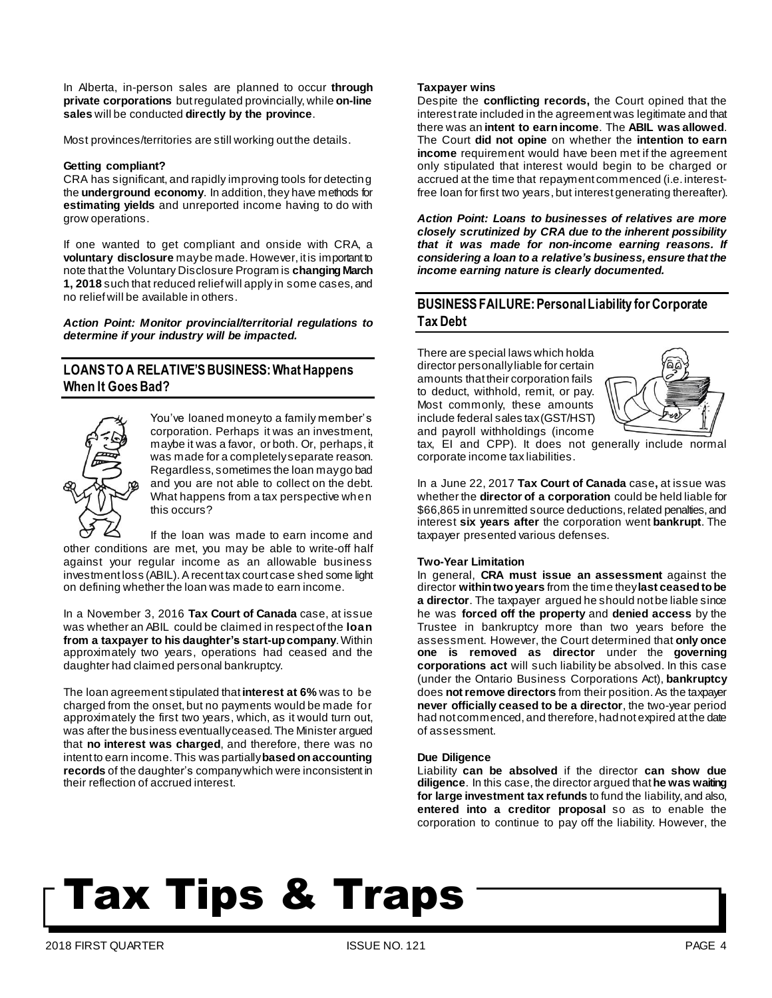In Alberta, in-person sales are planned to occur **through private corporations** butregulated provincially, while **on-line sales** will be conducted **directly by the province**.

Most provinces/territories are still working out the details.

### **Getting compliant?**

CRA has significant, and rapidly improving tools for detecting the **underground economy**. In addition, they have methods for **estimating yields** and unreported income having to do with grow operations.

If one wanted to get compliant and onside with CRA, a **voluntary disclosure** maybe made. However, itis important to note that the Voluntary Disclosure Program is **changing March 1, 2018** such that reduced relief will apply in some cases, and no relief will be available in others.

*Action Point: Monitor provincial/territorial regulations to determine if your industry will be impacted.*

## **LOANSTO A RELATIVE'SBUSINESS:WhatHappens When It Goes Bad?**



You've loaned moneyto a family member's corporation. Perhaps it was an investment, maybe it was a favor, or both. Or, perhaps, it was made for a completelyseparate reason. Regardless, sometimes the loan maygo bad and you are not able to collect on the debt. What happens from a tax perspective when this occurs?

If the loan was made to earn income and other conditions are met, you may be able to write-off half against your regular income as an allowable business investment loss (ABIL). A recent tax court case shed some light on defining whether the loan was made to earn income.

In a November 3, 2016 **Tax Court of Canada** case, at issue was whether an ABIL could be claimed in respect of the **loan from a taxpayer to his daughter's start-upcompany**.Within approximately two years, operations had ceased and the daughter had claimed personal bankruptcy.

The loan agreement stipulated that **interest at 6%** was to be charged from the onset, but no payments would be made for approximately the first two years, which, as it would turn out, was after the business eventuallyceased.The Minister argued that **no interest was charged**, and therefore, there was no intent to earn income.This was partially**basedonaccounting records** of the daughter's companywhich were inconsistent in their reflection of accrued interest.

### **Taxpayer wins**

Despite the **conflicting records,** the Court opined that the interestrate included in the agreement was legitimate and that there was an **intent to earnincome**. The **ABIL was allowed**. The Court **did not opine** on whether the **intention to earn income** requirement would have been met if the agreement only stipulated that interest would begin to be charged or accrued at the time that repayment commenced (i.e. interestfree loan for first two years, but interest generating thereafter).

*Action Point: Loans to businesses of relatives are more closely scrutinized by CRA due to the inherent possibility that it was made for non-income earning reasons. If considering a loan to a relative's business, ensure that the income earning nature is clearly documented.*

## **BUSINESSFAILURE:PersonalLiability for Corporate TaxDebt**

There are special laws which holda director personallyliable for certain amounts that their corporation fails to deduct, withhold, remit, or pay. Most commonly, these amounts include federal sales tax(GST/HST) and payroll withholdings (income



tax, EI and CPP). It does not generally include normal corporate income tax liabilities.

In a June 22, 2017 **Tax Court of Canada** case**,** at issue was whether the **director of a corporation** could be held liable for \$66,865 in unremitted source deductions, related penalties, and interest **six years after** the corporation went **bankrupt**. The taxpayer presented various defenses.

### **Two-Year Limitation**

In general, **CRA must issue an assessment** against the director **withintwoyears** from the time they**last ceasedtobe a director**. The taxpayer argued he should notbe liable since he was **forced off the property** and **denied access** by the Trustee in bankruptcy more than two years before the assessment. However, the Court determined that **only once one is removed as director** under the **governing corporations act** will such liability be absolved. In this case (under the Ontario Business Corporations Act), **bankruptcy** does **notremove directors** from their position.As the taxpayer **never officially ceased to be a director**, the two-year period had not commenced, and therefore, hadnot expired at the date of assessment.

### **Due Diligence**

Liability **can be absolved** if the director **can show due diligence**. In this case, the director argued that**he was waiting for large investment tax refunds** to fund the liability, and also, **entered into a creditor proposal** so as to enable the corporation to continue to pay off the liability. However, the